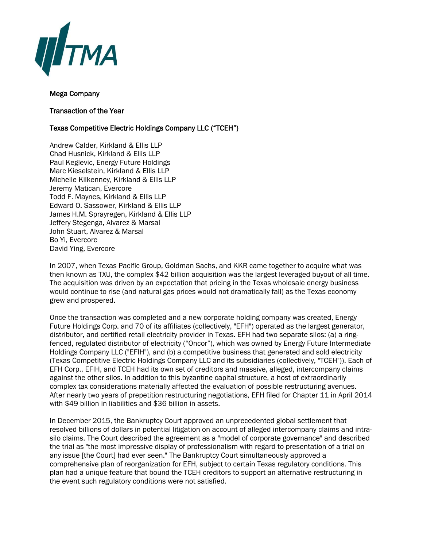

## Mega Company

## Transaction of the Year

## Texas Competitive Electric Holdings Company LLC ("TCEH")

Andrew Calder, Kirkland & Ellis LLP Chad Husnick, Kirkland & Ellis LLP Paul Keglevic, Energy Future Holdings Marc Kieselstein, Kirkland & Ellis LLP Michelle Kilkenney, Kirkland & Ellis LLP Jeremy Matican, Evercore Todd F. Maynes, Kirkland & Ellis LLP Edward O. Sassower, Kirkland & Ellis LLP James H.M. Sprayregen, Kirkland & Ellis LLP Jeffery Stegenga, Alvarez & Marsal John Stuart, Alvarez & Marsal Bo Yi, Evercore David Ying, Evercore

In 2007, when Texas Pacific Group, Goldman Sachs, and KKR came together to acquire what was then known as TXU, the complex \$42 billion acquisition was the largest leveraged buyout of all time. The acquisition was driven by an expectation that pricing in the Texas wholesale energy business would continue to rise (and natural gas prices would not dramatically fall) as the Texas economy grew and prospered.

Once the transaction was completed and a new corporate holding company was created, Energy Future Holdings Corp. and 70 of its affiliates (collectively, "EFH") operated as the largest generator, distributor, and certified retail electricity provider in Texas. EFH had two separate silos: (a) a ringfenced, regulated distributor of electricity ("Oncor"), which was owned by Energy Future Intermediate Holdings Company LLC ("EFIH"), and (b) a competitive business that generated and sold electricity (Texas Competitive Electric Holdings Company LLC and its subsidiaries (collectively, "TCEH")). Each of EFH Corp., EFIH, and TCEH had its own set of creditors and massive, alleged, intercompany claims against the other silos. In addition to this byzantine capital structure, a host of extraordinarily complex tax considerations materially affected the evaluation of possible restructuring avenues. After nearly two years of prepetition restructuring negotiations, EFH filed for Chapter 11 in April 2014 with \$49 billion in liabilities and \$36 billion in assets.

In December 2015, the Bankruptcy Court approved an unprecedented global settlement that resolved billions of dollars in potential litigation on account of alleged intercompany claims and intrasilo claims. The Court described the agreement as a "model of corporate governance" and described the trial as "the most impressive display of professionalism with regard to presentation of a trial on any issue [the Court] had ever seen." The Bankruptcy Court simultaneously approved a comprehensive plan of reorganization for EFH, subject to certain Texas regulatory conditions. This plan had a unique feature that bound the TCEH creditors to support an alternative restructuring in the event such regulatory conditions were not satisfied.